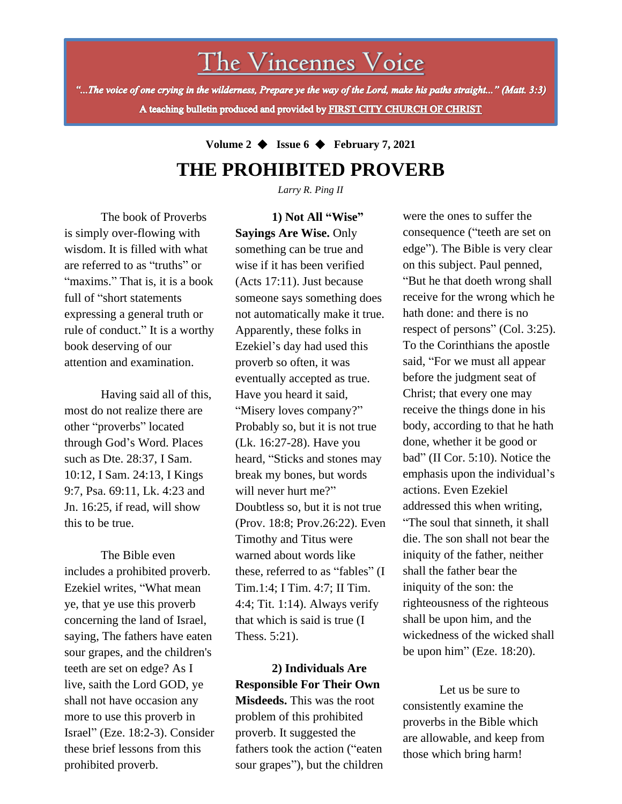The Vincennes Voice

"...The voice of one crying in the wilderness, Prepare ye the way of the Lord, make his paths straight..." (Matt. 3:3) A teaching bulletin produced and provided by FIRST CITY CHURCH OF CHRIST

> **Volume 2** ◆ **Issue 6** ◆ **February 7, 2021 THE PROHIBITED PROVERB**

> > *Larry R. Ping II*

The book of Proverbs is simply over-flowing with wisdom. It is filled with what are referred to as "truths" or "maxims." That is, it is a book full of "short statements expressing a general truth or rule of conduct." It is a worthy book deserving of our attention and examination.

Having said all of this, most do not realize there are other "proverbs" located through God's Word. Places such as Dte. 28:37, I Sam. 10:12, I Sam. 24:13, I Kings 9:7, Psa. 69:11, Lk. 4:23 and Jn. 16:25, if read, will show this to be true.

shall not have occasion any The Bible even includes a prohibited proverb. Ezekiel writes, "What mean ye, that ye use this proverb concerning the land of Israel, saying, The fathers have eaten sour grapes, and the children's teeth are set on edge? As I live, saith the Lord GOD, ye more to use this proverb in Israel" (Eze. 18:2-3). Consider these brief lessons from this prohibited proverb.

**1) Not All "Wise" Sayings Are Wise.** Only something can be true and wise if it has been verified (Acts 17:11). Just because someone says something does not automatically make it true. Apparently, these folks in Ezekiel's day had used this proverb so often, it was eventually accepted as true. Have you heard it said, "Misery loves company?" Probably so, but it is not true (Lk. 16:27-28). Have you heard, "Sticks and stones may break my bones, but words will never hurt me?" Doubtless so, but it is not true (Prov. 18:8; Prov.26:22). Even Timothy and Titus were warned about words like these, referred to as "fables" (I Tim.1:4; I Tim. 4:7; II Tim. 4:4; Tit. 1:14). Always verify that which is said is true (I Thess. 5:21).

**2) Individuals Are Responsible For Their Own Misdeeds.** This was the root problem of this prohibited proverb. It suggested the fathers took the action ("eaten sour grapes"), but the children

were the ones to suffer the consequence ("teeth are set on edge"). The Bible is very clear on this subject. Paul penned, "But he that doeth wrong shall receive for the wrong which he hath done: and there is no respect of persons" (Col. 3:25). To the Corinthians the apostle said, "For we must all appear before the judgment seat of Christ; that every one may receive the things done in his body, according to that he hath done, whether it be good or bad" (II Cor. 5:10). Notice the emphasis upon the individual's actions. Even Ezekiel addressed this when writing, "The soul that sinneth, it shall die. The son shall not bear the iniquity of the father, neither shall the father bear the iniquity of the son: the righteousness of the righteous shall be upon him, and the wickedness of the wicked shall be upon him" (Eze. 18:20).

Let us be sure to consistently examine the proverbs in the Bible which are allowable, and keep from those which bring harm!